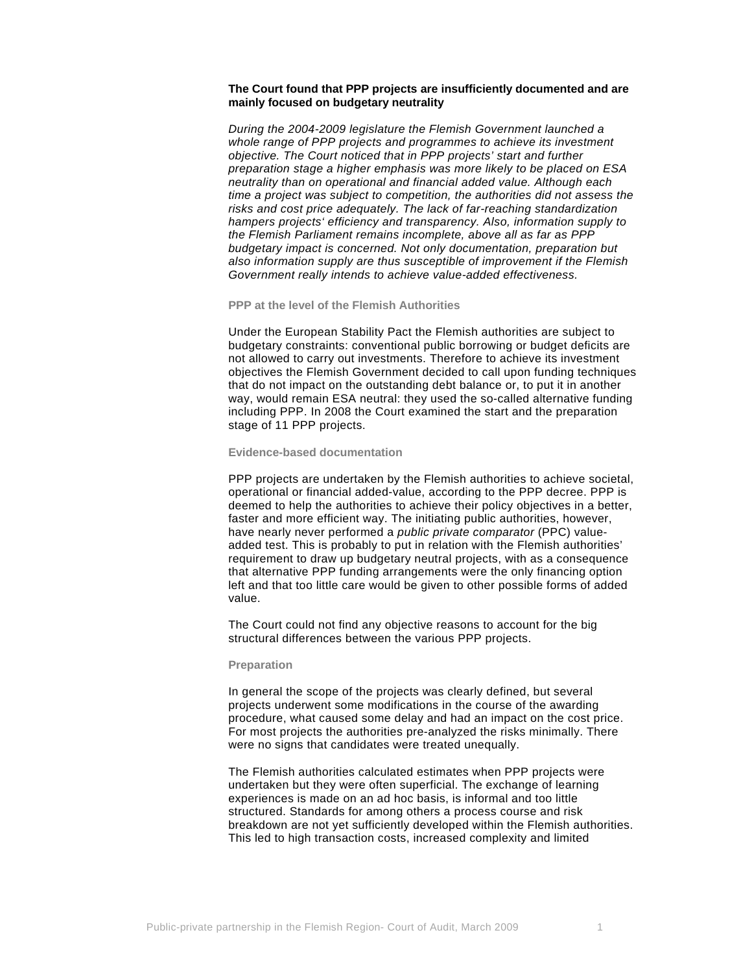# **The Court found that PPP projects are insufficiently documented and are mainly focused on budgetary neutrality**

*During the 2004-2009 legislature the Flemish Government launched a whole range of PPP projects and programmes to achieve its investment objective. The Court noticed that in PPP projects' start and further preparation stage a higher emphasis was more likely to be placed on ESA neutrality than on operational and financial added value. Although each time a project was subject to competition, the authorities did not assess the risks and cost price adequately. The lack of far-reaching standardization hampers projects' efficiency and transparency. Also, information supply to the Flemish Parliament remains incomplete, above all as far as PPP budgetary impact is concerned. Not only documentation, preparation but also information supply are thus susceptible of improvement if the Flemish Government really intends to achieve value-added effectiveness.* 

## **PPP at the level of the Flemish Authorities**

Under the European Stability Pact the Flemish authorities are subject to budgetary constraints: conventional public borrowing or budget deficits are not allowed to carry out investments. Therefore to achieve its investment objectives the Flemish Government decided to call upon funding techniques that do not impact on the outstanding debt balance or, to put it in another way, would remain ESA neutral: they used the so-called alternative funding including PPP. In 2008 the Court examined the start and the preparation stage of 11 PPP projects.

#### **Evidence-based documentation**

PPP projects are undertaken by the Flemish authorities to achieve societal, operational or financial added-value, according to the PPP decree. PPP is deemed to help the authorities to achieve their policy objectives in a better, faster and more efficient way. The initiating public authorities, however, have nearly never performed a *public private comparator* (PPC) valueadded test. This is probably to put in relation with the Flemish authorities' requirement to draw up budgetary neutral projects, with as a consequence that alternative PPP funding arrangements were the only financing option left and that too little care would be given to other possible forms of added value.

The Court could not find any objective reasons to account for the big structural differences between the various PPP projects.

#### **Preparation**

In general the scope of the projects was clearly defined, but several projects underwent some modifications in the course of the awarding procedure, what caused some delay and had an impact on the cost price. For most projects the authorities pre-analyzed the risks minimally. There were no signs that candidates were treated unequally.

The Flemish authorities calculated estimates when PPP projects were undertaken but they were often superficial. The exchange of learning experiences is made on an ad hoc basis, is informal and too little structured. Standards for among others a process course and risk breakdown are not yet sufficiently developed within the Flemish authorities. This led to high transaction costs, increased complexity and limited